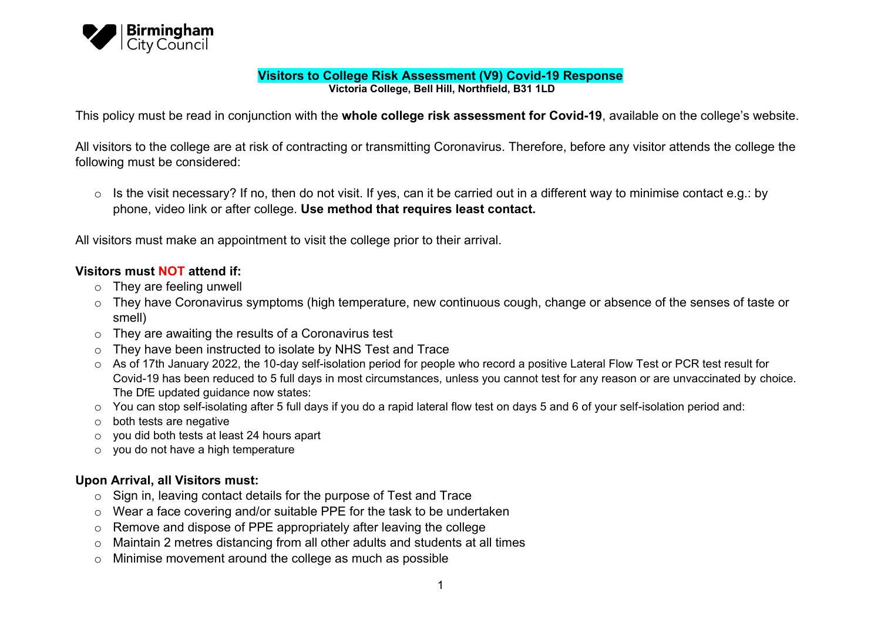

#### **Visitors to College Risk Assessment (V9) Covid-19 Response Victoria College, Bell Hill, Northfield, B31 1LD**

This policy must be read in conjunction with the **whole college risk assessment for Covid-19**, available on the college's website.

All visitors to the college are at risk of contracting or transmitting Coronavirus. Therefore, before any visitor attends the college the following must be considered:

 $\circ$  Is the visit necessary? If no, then do not visit. If yes, can it be carried out in a different way to minimise contact e.g.: by phone, video link or after college. **Use method that requires least contact.**

All visitors must make an appointment to visit the college prior to their arrival.

#### **Visitors must NOT attend if:**

- o They are feeling unwell
- o They have Coronavirus symptoms (high temperature, new continuous cough, change or absence of the senses of taste or smell)
- $\circ$  They are awaiting the results of a Coronavirus test
- o They have been instructed to isolate by NHS Test and Trace
- o As of 17th January 2022, the 10-day self-isolation period for people who record a positive Lateral Flow Test or PCR test result for Covid-19 has been reduced to 5 full days in most circumstances, unless you cannot test for any reason or are unvaccinated by choice. The DfE updated guidance now states:
- o You can stop self-isolating after 5 full days if you do a rapid lateral flow test on days 5 and 6 of your self-isolation period and:
- o both tests are negative
- o you did both tests at least 24 hours apart
- o you do not have a high temperature

# **Upon Arrival, all Visitors must:**

- o Sign in, leaving contact details for the purpose of Test and Trace
- o Wear a face covering and/or suitable PPE for the task to be undertaken
- o Remove and dispose of PPE appropriately after leaving the college
- o Maintain 2 metres distancing from all other adults and students at all times
- o Minimise movement around the college as much as possible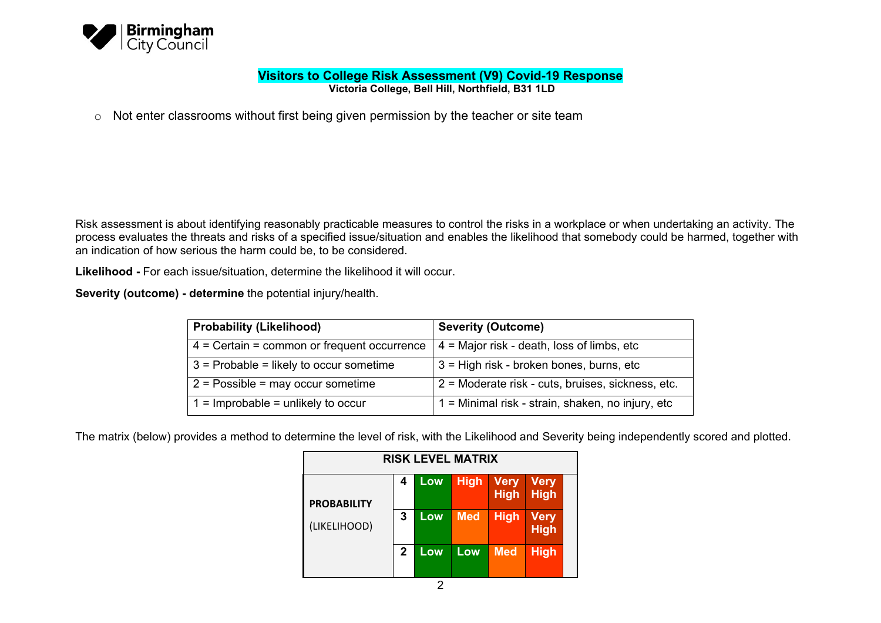

**Victoria College, Bell Hill, Northfield, B31 1LD**

o Not enter classrooms without first being given permission by the teacher or site team

Risk assessment is about identifying reasonably practicable measures to control the risks in a workplace or when undertaking an activity. The process evaluates the threats and risks of a specified issue/situation and enables the likelihood that somebody could be harmed, together with an indication of how serious the harm could be, to be considered.

**Likelihood -** For each issue/situation, determine the likelihood it will occur.

**Severity (outcome) - determine** the potential injury/health.

| <b>Probability (Likelihood)</b>               | <b>Severity (Outcome)</b>                         |
|-----------------------------------------------|---------------------------------------------------|
| $4 =$ Certain = common or frequent occurrence | $4$ = Major risk - death, loss of limbs, etc      |
| $3$ = Probable = likely to occur sometime     | 3 = High risk - broken bones, burns, etc          |
| $2 =$ Possible = may occur sometime           | 2 = Moderate risk - cuts, bruises, sickness, etc. |
| $1 =$ Improbable = unlikely to occur          | 1 = Minimal risk - strain, shaken, no injury, etc |

The matrix (below) provides a method to determine the level of risk, with the Likelihood and Severity being independently scored and plotted.

| <b>RISK LEVEL MATRIX</b> |             |     |             |                            |                            |  |
|--------------------------|-------------|-----|-------------|----------------------------|----------------------------|--|
| <b>PROBABILITY</b>       | 4           | Low | <b>High</b> | <b>Very</b><br><b>High</b> | <b>Very</b><br><b>High</b> |  |
| (LIKELIHOOD)             | 3           | Low | <b>Med</b>  | <b>High</b>                | <b>Very</b><br><b>High</b> |  |
|                          | $\mathbf 2$ | Low | Low         | <b>Med</b>                 | <b>High</b>                |  |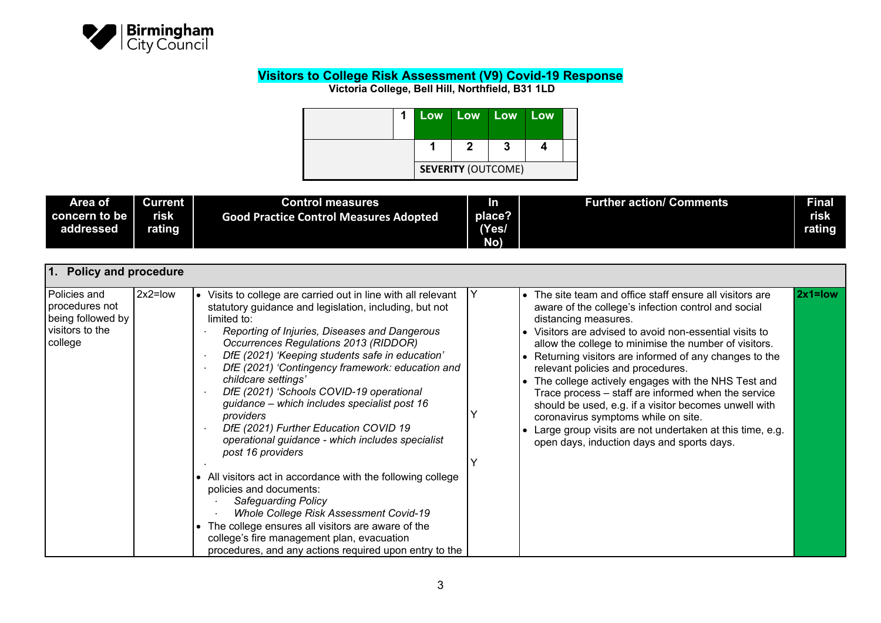

| 1 <sup>1</sup> |                           | Low Low Low Low |  |
|----------------|---------------------------|-----------------|--|
|                |                           |                 |  |
|                | <b>SEVERITY (OUTCOME)</b> |                 |  |

| Area of   | <b>Current</b> | <b>Control measures</b>                       | 'n     | <b>Further action/ Comments</b> | <b>Final</b> |
|-----------|----------------|-----------------------------------------------|--------|---------------------------------|--------------|
|           | risk           | <b>Good Practice Control Measures Adopted</b> | place? |                                 | risk         |
| addressed | rating         |                                               | (Yes/  |                                 | rating       |
|           |                |                                               | No)    |                                 |              |

| 1. Policy and procedure                                                           |           |                                                                                                                                                                                                                                                                                                                                                                                                                                                                                                                                                                                                                                                                                                                                                                                                                                                                                                                              |   |                                                                                                                                                                                                                                                                                                                                                                                                                                                                                                                                                                                                                                                                                      |             |
|-----------------------------------------------------------------------------------|-----------|------------------------------------------------------------------------------------------------------------------------------------------------------------------------------------------------------------------------------------------------------------------------------------------------------------------------------------------------------------------------------------------------------------------------------------------------------------------------------------------------------------------------------------------------------------------------------------------------------------------------------------------------------------------------------------------------------------------------------------------------------------------------------------------------------------------------------------------------------------------------------------------------------------------------------|---|--------------------------------------------------------------------------------------------------------------------------------------------------------------------------------------------------------------------------------------------------------------------------------------------------------------------------------------------------------------------------------------------------------------------------------------------------------------------------------------------------------------------------------------------------------------------------------------------------------------------------------------------------------------------------------------|-------------|
| Policies and<br>procedures not<br>being followed by<br>visitors to the<br>college | $2x2=low$ | Visits to college are carried out in line with all relevant<br>$\bullet$<br>statutory guidance and legislation, including, but not<br>limited to:<br>Reporting of Injuries, Diseases and Dangerous<br>Occurrences Regulations 2013 (RIDDOR)<br>DfE (2021) 'Keeping students safe in education'<br>DfE (2021) 'Contingency framework: education and<br>childcare settings'<br>DfE (2021) 'Schools COVID-19 operational<br>guidance – which includes specialist post 16<br>providers<br>DfE (2021) Further Education COVID 19<br>operational guidance - which includes specialist<br>post 16 providers<br>• All visitors act in accordance with the following college<br>policies and documents:<br>Safeguarding Policy<br>Whole College Risk Assessment Covid-19<br>The college ensures all visitors are aware of the<br>college's fire management plan, evacuation<br>procedures, and any actions required upon entry to the | Y | • The site team and office staff ensure all visitors are<br>aware of the college's infection control and social<br>distancing measures.<br>• Visitors are advised to avoid non-essential visits to<br>allow the college to minimise the number of visitors.<br>• Returning visitors are informed of any changes to the<br>relevant policies and procedures.<br>• The college actively engages with the NHS Test and<br>Trace process - staff are informed when the service<br>should be used, e.g. if a visitor becomes unwell with<br>coronavirus symptoms while on site.<br>Large group visits are not undertaken at this time, e.g.<br>open days, induction days and sports days. | $2x1 = low$ |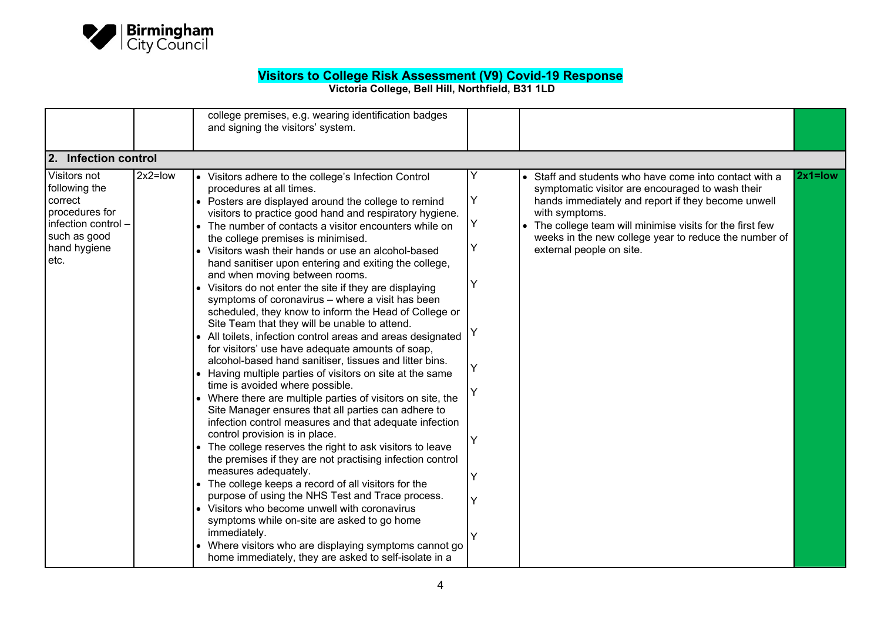

|                                                                                                                           |           | college premises, e.g. wearing identification badges<br>and signing the visitors' system.                                                                                                                                                                                                                                                                                                                                                                                                                                                                                                                                                                                                                                                                                                                                                                                                                                                                                                                                                                                                                                                                                                                                                                                                                                                                                                                                                                                                                                                                                                                                                                              |                                           |                                                                                                                                                                                                                                                                                                                                      |             |
|---------------------------------------------------------------------------------------------------------------------------|-----------|------------------------------------------------------------------------------------------------------------------------------------------------------------------------------------------------------------------------------------------------------------------------------------------------------------------------------------------------------------------------------------------------------------------------------------------------------------------------------------------------------------------------------------------------------------------------------------------------------------------------------------------------------------------------------------------------------------------------------------------------------------------------------------------------------------------------------------------------------------------------------------------------------------------------------------------------------------------------------------------------------------------------------------------------------------------------------------------------------------------------------------------------------------------------------------------------------------------------------------------------------------------------------------------------------------------------------------------------------------------------------------------------------------------------------------------------------------------------------------------------------------------------------------------------------------------------------------------------------------------------------------------------------------------------|-------------------------------------------|--------------------------------------------------------------------------------------------------------------------------------------------------------------------------------------------------------------------------------------------------------------------------------------------------------------------------------------|-------------|
| 2. Infection control                                                                                                      |           |                                                                                                                                                                                                                                                                                                                                                                                                                                                                                                                                                                                                                                                                                                                                                                                                                                                                                                                                                                                                                                                                                                                                                                                                                                                                                                                                                                                                                                                                                                                                                                                                                                                                        |                                           |                                                                                                                                                                                                                                                                                                                                      |             |
| Visitors not<br>following the<br>correct<br>procedures for<br>infection control -<br>such as good<br>hand hygiene<br>etc. | $2x2=low$ | • Visitors adhere to the college's Infection Control<br>procedures at all times.<br>• Posters are displayed around the college to remind<br>visitors to practice good hand and respiratory hygiene.<br>The number of contacts a visitor encounters while on<br>the college premises is minimised.<br>• Visitors wash their hands or use an alcohol-based<br>hand sanitiser upon entering and exiting the college,<br>and when moving between rooms.<br>• Visitors do not enter the site if they are displaying<br>symptoms of coronavirus - where a visit has been<br>scheduled, they know to inform the Head of College or<br>Site Team that they will be unable to attend.<br>• All toilets, infection control areas and areas designated<br>for visitors' use have adequate amounts of soap,<br>alcohol-based hand sanitiser, tissues and litter bins.<br>• Having multiple parties of visitors on site at the same<br>time is avoided where possible.<br>Where there are multiple parties of visitors on site, the<br>Site Manager ensures that all parties can adhere to<br>infection control measures and that adequate infection<br>control provision is in place.<br>The college reserves the right to ask visitors to leave<br>the premises if they are not practising infection control<br>measures adequately.<br>• The college keeps a record of all visitors for the<br>purpose of using the NHS Test and Trace process.<br>• Visitors who become unwell with coronavirus<br>symptoms while on-site are asked to go home<br>immediately.<br>Where visitors who are displaying symptoms cannot go<br>home immediately, they are asked to self-isolate in a | Υ<br>Υ<br>Υ<br>Υ<br>Υ<br>Υ<br>Y<br>Y<br>Y | • Staff and students who have come into contact with a<br>symptomatic visitor are encouraged to wash their<br>hands immediately and report if they become unwell<br>with symptoms.<br>• The college team will minimise visits for the first few<br>weeks in the new college year to reduce the number of<br>external people on site. | $2x1 = low$ |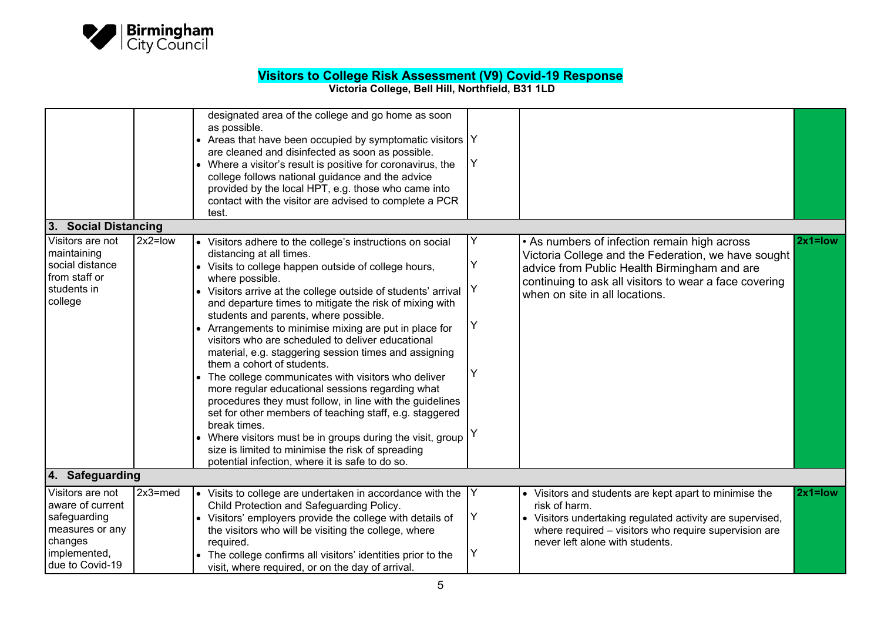

|                                                                                                                                              |            | designated area of the college and go home as soon<br>as possible.<br>• Areas that have been occupied by symptomatic visitors  Y<br>are cleaned and disinfected as soon as possible.<br>• Where a visitor's result is positive for coronavirus, the<br>college follows national guidance and the advice<br>provided by the local HPT, e.g. those who came into<br>contact with the visitor are advised to complete a PCR<br>test.                                                                                                                                                                                                                                                                                                                                                                                                                                                                                                                                    | Υ                     |                                                                                                                                                                                                                                                 |             |
|----------------------------------------------------------------------------------------------------------------------------------------------|------------|----------------------------------------------------------------------------------------------------------------------------------------------------------------------------------------------------------------------------------------------------------------------------------------------------------------------------------------------------------------------------------------------------------------------------------------------------------------------------------------------------------------------------------------------------------------------------------------------------------------------------------------------------------------------------------------------------------------------------------------------------------------------------------------------------------------------------------------------------------------------------------------------------------------------------------------------------------------------|-----------------------|-------------------------------------------------------------------------------------------------------------------------------------------------------------------------------------------------------------------------------------------------|-------------|
| 3. Social Distancing                                                                                                                         |            |                                                                                                                                                                                                                                                                                                                                                                                                                                                                                                                                                                                                                                                                                                                                                                                                                                                                                                                                                                      |                       |                                                                                                                                                                                                                                                 |             |
| Visitors are not<br>maintaining<br>social distance<br>from staff or<br>students in<br>college                                                | $2x2=low$  | • Visitors adhere to the college's instructions on social<br>distancing at all times.<br>• Visits to college happen outside of college hours,<br>where possible.<br>• Visitors arrive at the college outside of students' arrival<br>and departure times to mitigate the risk of mixing with<br>students and parents, where possible.<br>• Arrangements to minimise mixing are put in place for<br>visitors who are scheduled to deliver educational<br>material, e.g. staggering session times and assigning<br>them a cohort of students.<br>• The college communicates with visitors who deliver<br>more regular educational sessions regarding what<br>procedures they must follow, in line with the guidelines<br>set for other members of teaching staff, e.g. staggered<br>break times.<br>• Where visitors must be in groups during the visit, group<br>size is limited to minimise the risk of spreading<br>potential infection, where it is safe to do so. | Υ<br>Y<br>Y<br>Υ<br>Υ | • As numbers of infection remain high across<br>Victoria College and the Federation, we have sought<br>advice from Public Health Birmingham and are<br>continuing to ask all visitors to wear a face covering<br>when on site in all locations. | $2x1 = low$ |
| 4. Safeguarding                                                                                                                              |            |                                                                                                                                                                                                                                                                                                                                                                                                                                                                                                                                                                                                                                                                                                                                                                                                                                                                                                                                                                      |                       |                                                                                                                                                                                                                                                 |             |
| $\overline{\mathsf{V}}$ isitors are not<br>aware of current<br>safeguarding<br>measures or any<br>changes<br>implemented,<br>due to Covid-19 | $2x3$ =med | $\bullet$ Visits to college are undertaken in accordance with the<br>Child Protection and Safeguarding Policy.<br>• Visitors' employers provide the college with details of<br>the visitors who will be visiting the college, where<br>required.<br>The college confirms all visitors' identities prior to the<br>visit, where required, or on the day of arrival.                                                                                                                                                                                                                                                                                                                                                                                                                                                                                                                                                                                                   | Υ<br>Υ<br>Υ           | • Visitors and students are kept apart to minimise the<br>risk of harm.<br>• Visitors undertaking regulated activity are supervised,<br>where required - visitors who require supervision are<br>never left alone with students.                | $2x1 = low$ |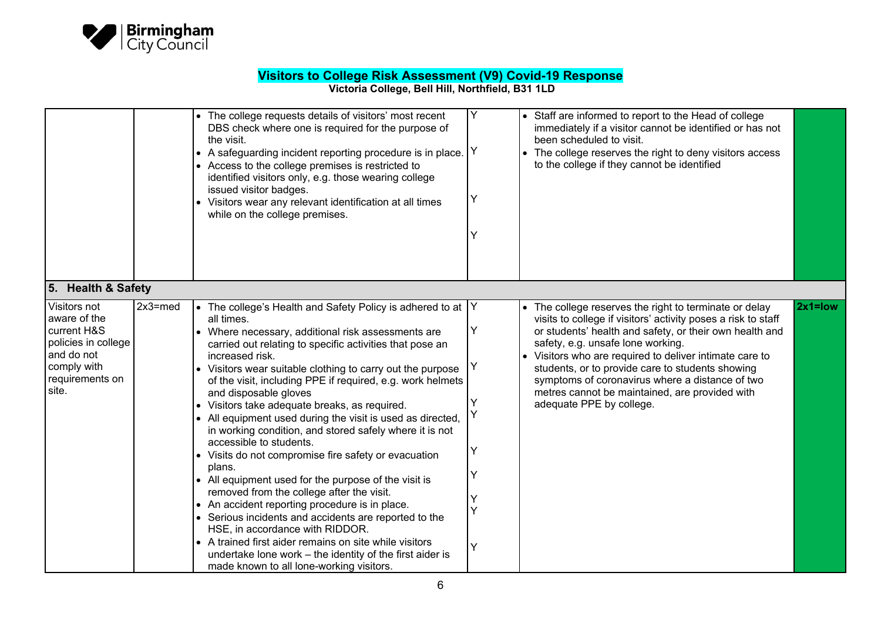

|                                                                                                                             |            | The college requests details of visitors' most recent<br>DBS check where one is required for the purpose of<br>the visit.<br>• A safeguarding incident reporting procedure is in place.<br>• Access to the college premises is restricted to<br>identified visitors only, e.g. those wearing college<br>issued visitor badges.<br>Visitors wear any relevant identification at all times<br>while on the college premises.                                                                                                                                                                                                                                                                                                                                                                                                                                                                                                                                                                                                                                        | Y<br>Y<br>Υ<br>Y           | • Staff are informed to report to the Head of college<br>immediately if a visitor cannot be identified or has not<br>been scheduled to visit.<br>The college reserves the right to deny visitors access<br>to the college if they cannot be identified                                                                                                                                                                                                                             |
|-----------------------------------------------------------------------------------------------------------------------------|------------|-------------------------------------------------------------------------------------------------------------------------------------------------------------------------------------------------------------------------------------------------------------------------------------------------------------------------------------------------------------------------------------------------------------------------------------------------------------------------------------------------------------------------------------------------------------------------------------------------------------------------------------------------------------------------------------------------------------------------------------------------------------------------------------------------------------------------------------------------------------------------------------------------------------------------------------------------------------------------------------------------------------------------------------------------------------------|----------------------------|------------------------------------------------------------------------------------------------------------------------------------------------------------------------------------------------------------------------------------------------------------------------------------------------------------------------------------------------------------------------------------------------------------------------------------------------------------------------------------|
| 5. Health & Safety                                                                                                          |            |                                                                                                                                                                                                                                                                                                                                                                                                                                                                                                                                                                                                                                                                                                                                                                                                                                                                                                                                                                                                                                                                   |                            |                                                                                                                                                                                                                                                                                                                                                                                                                                                                                    |
| Visitors not<br>aware of the<br>current H&S<br>policies in college<br>and do not<br>comply with<br>requirements on<br>site. | $2x3$ =med | The college's Health and Safety Policy is adhered to at $ Y $<br>all times.<br>• Where necessary, additional risk assessments are<br>carried out relating to specific activities that pose an<br>increased risk.<br>• Visitors wear suitable clothing to carry out the purpose<br>of the visit, including PPE if required, e.g. work helmets<br>and disposable gloves<br>• Visitors take adequate breaks, as required.<br>• All equipment used during the visit is used as directed,<br>in working condition, and stored safely where it is not<br>accessible to students.<br>• Visits do not compromise fire safety or evacuation<br>plans.<br>• All equipment used for the purpose of the visit is<br>removed from the college after the visit.<br>• An accident reporting procedure is in place.<br>• Serious incidents and accidents are reported to the<br>HSE, in accordance with RIDDOR.<br>• A trained first aider remains on site while visitors<br>undertake lone work - the identity of the first aider is<br>made known to all lone-working visitors. | Υ<br>Y<br>Υ<br>Y<br>Υ<br>Y | $2x1 = low$<br>The college reserves the right to terminate or delay<br>visits to college if visitors' activity poses a risk to staff<br>or students' health and safety, or their own health and<br>safety, e.g. unsafe lone working.<br>Visitors who are required to deliver intimate care to<br>students, or to provide care to students showing<br>symptoms of coronavirus where a distance of two<br>metres cannot be maintained, are provided with<br>adequate PPE by college. |